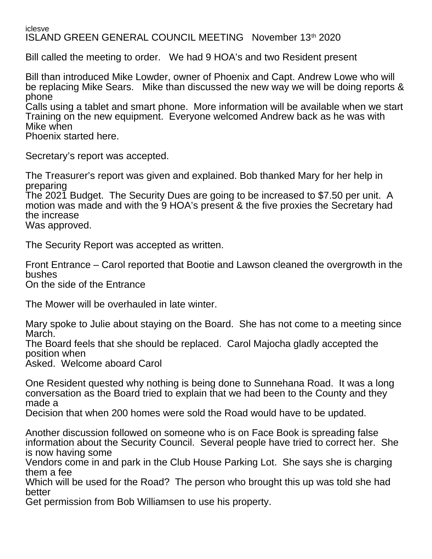iclesve ISLAND GREEN GENERAL COUNCIL MEETING November 13th 2020

Bill called the meeting to order. We had 9 HOA's and two Resident present

Bill than introduced Mike Lowder, owner of Phoenix and Capt. Andrew Lowe who will be replacing Mike Sears. Mike than discussed the new way we will be doing reports & phone

Calls using a tablet and smart phone. More information will be available when we start Training on the new equipment. Everyone welcomed Andrew back as he was with Mike when

Phoenix started here.

Secretary's report was accepted.

The Treasurer's report was given and explained. Bob thanked Mary for her help in preparing

The 2021 Budget. The Security Dues are going to be increased to \$7.50 per unit. A motion was made and with the 9 HOA's present & the five proxies the Secretary had the increase

Was approved.

The Security Report was accepted as written.

Front Entrance – Carol reported that Bootie and Lawson cleaned the overgrowth in the bushes

On the side of the Entrance

The Mower will be overhauled in late winter.

Mary spoke to Julie about staying on the Board. She has not come to a meeting since March.

The Board feels that she should be replaced. Carol Majocha gladly accepted the position when

Asked. Welcome aboard Carol

One Resident quested why nothing is being done to Sunnehana Road. It was a long conversation as the Board tried to explain that we had been to the County and they made a

Decision that when 200 homes were sold the Road would have to be updated.

Another discussion followed on someone who is on Face Book is spreading false information about the Security Council. Several people have tried to correct her. She is now having some

Vendors come in and park in the Club House Parking Lot. She says she is charging them a fee

Which will be used for the Road? The person who brought this up was told she had better

Get permission from Bob Williamsen to use his property.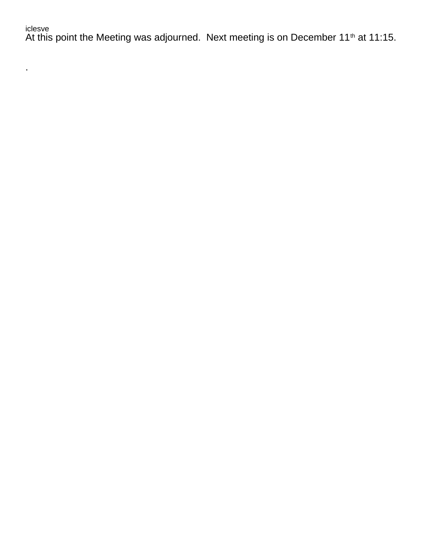## iclesve

 $\mathcal{L}^{(1)}$ 

At this point the Meeting was adjourned. Next meeting is on December 11<sup>th</sup> at 11:15.